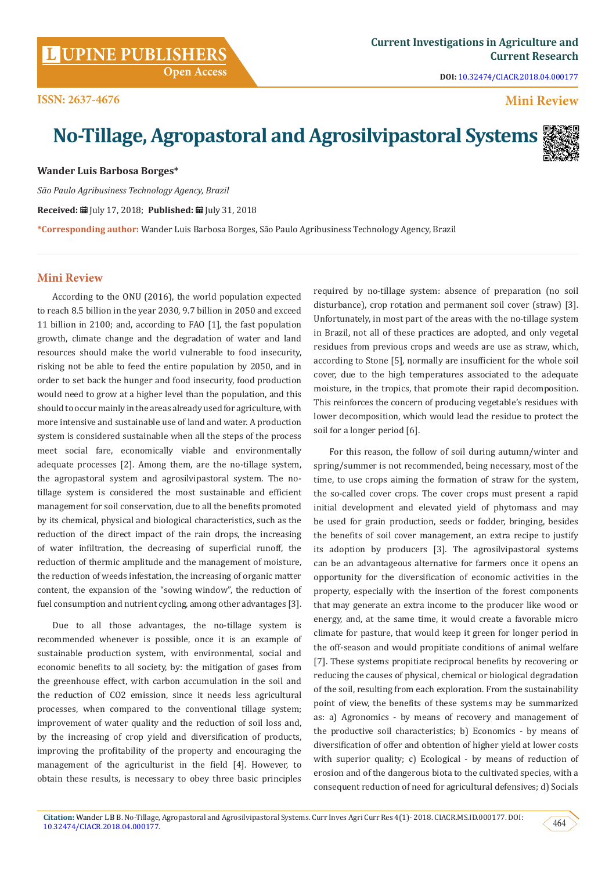**DOI:** [10.32474/CIACR.2018.04.000177](http://dx.doi.org/10.32474/CIACR.2018.04.000177)

## **Mini Review**

# **No-Tillage, Agropastoral and Agrosilvipastoral Systems**



**Wander Luis Barbosa Borges\***

*São Paulo Agribusiness Technology Agency, Brazil*

**Received:** July 17, 2018; **Published:** July 31, 2018

**\*Corresponding author:** Wander Luis Barbosa Borges, São Paulo Agribusiness Technology Agency, Brazil

### **Mini Review**

According to the ONU (2016), the world population expected to reach 8.5 billion in the year 2030, 9.7 billion in 2050 and exceed 11 billion in 2100; and, according to FAO [1], the fast population growth, climate change and the degradation of water and land resources should make the world vulnerable to food insecurity, risking not be able to feed the entire population by 2050, and in order to set back the hunger and food insecurity, food production would need to grow at a higher level than the population, and this should to occur mainly in the areas already used for agriculture, with more intensive and sustainable use of land and water. A production system is considered sustainable when all the steps of the process meet social fare, economically viable and environmentally adequate processes [2]. Among them, are the no-tillage system, the agropastoral system and agrosilvipastoral system. The notillage system is considered the most sustainable and efficient management for soil conservation, due to all the benefits promoted by its chemical, physical and biological characteristics, such as the reduction of the direct impact of the rain drops, the increasing of water infiltration, the decreasing of superficial runoff, the reduction of thermic amplitude and the management of moisture, the reduction of weeds infestation, the increasing of organic matter content, the expansion of the "sowing window", the reduction of fuel consumption and nutrient cycling, among other advantages [3].

Due to all those advantages, the no-tillage system is recommended whenever is possible, once it is an example of sustainable production system, with environmental, social and economic benefits to all society, by: the mitigation of gases from the greenhouse effect, with carbon accumulation in the soil and the reduction of CO2 emission, since it needs less agricultural processes, when compared to the conventional tillage system; improvement of water quality and the reduction of soil loss and, by the increasing of crop yield and diversification of products, improving the profitability of the property and encouraging the management of the agriculturist in the field [4]. However, to obtain these results, is necessary to obey three basic principles

required by no-tillage system: absence of preparation (no soil disturbance), crop rotation and permanent soil cover (straw) [3]. Unfortunately, in most part of the areas with the no-tillage system in Brazil, not all of these practices are adopted, and only vegetal residues from previous crops and weeds are use as straw, which, according to Stone [5], normally are insufficient for the whole soil cover, due to the high temperatures associated to the adequate moisture, in the tropics, that promote their rapid decomposition. This reinforces the concern of producing vegetable's residues with lower decomposition, which would lead the residue to protect the soil for a longer period [6].

For this reason, the follow of soil during autumn/winter and spring/summer is not recommended, being necessary, most of the time, to use crops aiming the formation of straw for the system, the so-called cover crops. The cover crops must present a rapid initial development and elevated yield of phytomass and may be used for grain production, seeds or fodder, bringing, besides the benefits of soil cover management, an extra recipe to justify its adoption by producers [3]. The agrosilvipastoral systems can be an advantageous alternative for farmers once it opens an opportunity for the diversification of economic activities in the property, especially with the insertion of the forest components that may generate an extra income to the producer like wood or energy, and, at the same time, it would create a favorable micro climate for pasture, that would keep it green for longer period in the off-season and would propitiate conditions of animal welfare [7]. These systems propitiate reciprocal benefits by recovering or reducing the causes of physical, chemical or biological degradation of the soil, resulting from each exploration. From the sustainability point of view, the benefits of these systems may be summarized as: a) Agronomics - by means of recovery and management of the productive soil characteristics; b) Economics - by means of diversification of offer and obtention of higher yield at lower costs with superior quality; c) Ecological - by means of reduction of erosion and of the dangerous biota to the cultivated species, with a consequent reduction of need for agricultural defensives; d) Socials